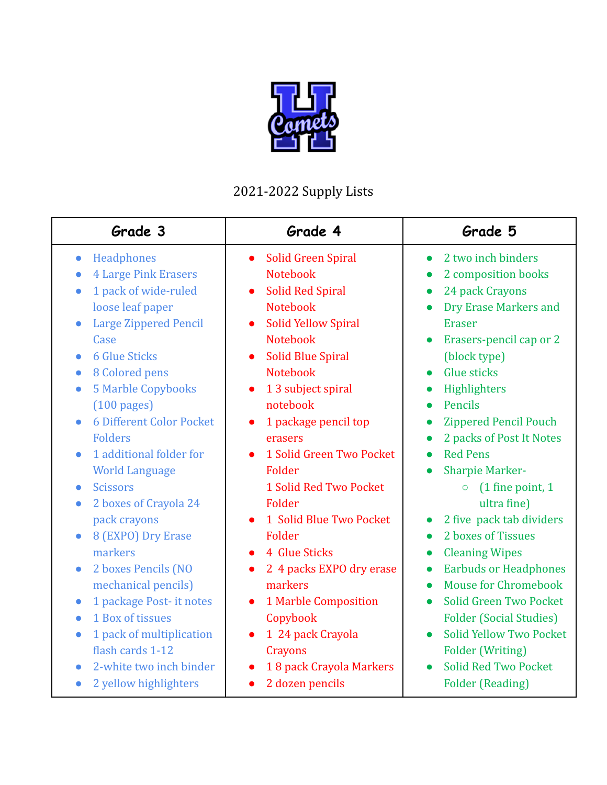

## 2021-2022 Supply Lists

| Grade 3                                                                                                                                                                                                                                                                                                                                                                                                                                                                                                    | Grade 4                                                                                                                                                                                                                                                                                                                                                                                                                                                  | Grade 5                                                                                                                                                                                                                                                                                                                                                                                                                                                                                                                                                    |
|------------------------------------------------------------------------------------------------------------------------------------------------------------------------------------------------------------------------------------------------------------------------------------------------------------------------------------------------------------------------------------------------------------------------------------------------------------------------------------------------------------|----------------------------------------------------------------------------------------------------------------------------------------------------------------------------------------------------------------------------------------------------------------------------------------------------------------------------------------------------------------------------------------------------------------------------------------------------------|------------------------------------------------------------------------------------------------------------------------------------------------------------------------------------------------------------------------------------------------------------------------------------------------------------------------------------------------------------------------------------------------------------------------------------------------------------------------------------------------------------------------------------------------------------|
| Headphones<br>$\bullet$<br><b>4 Large Pink Erasers</b><br>$\bullet$<br>1 pack of wide-ruled<br>$\bullet$<br>loose leaf paper<br><b>Large Zippered Pencil</b><br>Case<br><b>6 Glue Sticks</b><br>$\bullet$<br>8 Colored pens<br>$\bullet$<br><b>5 Marble Copybooks</b><br>$\bullet$<br>$(100 \text{ pages})$<br><b>6 Different Color Pocket</b><br><b>Folders</b><br>1 additional folder for<br>$\bullet$<br><b>World Language</b><br><b>Scissors</b><br>$\bullet$<br>2 boxes of Crayola 24<br>pack crayons | Solid Green Spiral<br>$\bullet$<br><b>Notebook</b><br><b>Solid Red Spiral</b><br>$\bullet$<br><b>Notebook</b><br><b>Solid Yellow Spiral</b><br>$\bullet$<br><b>Notebook</b><br><b>Solid Blue Spiral</b><br>$\bullet$<br><b>Notebook</b><br>1 3 subject spiral<br>$\bullet$<br>notebook<br>1 package pencil top<br>$\bullet$<br>erasers<br>1 Solid Green Two Pocket<br>$\bullet$<br>Folder<br>1 Solid Red Two Pocket<br>Folder<br>1 Solid Blue Two Pocket | 2 two inch binders<br>$\bullet$<br>2 composition books<br>$\bullet$<br>24 pack Crayons<br>$\bullet$<br><b>Dry Erase Markers and</b><br>$\bullet$<br><b>Eraser</b><br>Erasers-pencil cap or 2<br>$\bullet$<br>(block type)<br><b>Glue sticks</b><br>$\bullet$<br>Highlighters<br>$\bullet$<br>Pencils<br>$\bullet$<br><b>Zippered Pencil Pouch</b><br>$\bullet$<br>2 packs of Post It Notes<br>$\bullet$<br><b>Red Pens</b><br>$\bullet$<br><b>Sharpie Marker-</b><br>$(1$ fine point, 1<br>$\circ$<br>ultra fine)<br>2 five pack tab dividers<br>$\bullet$ |
| 8 (EXPO) Dry Erase<br>$\bullet$<br>markers<br>2 boxes Pencils (NO<br>$\bullet$<br>mechanical pencils)<br>1 package Post- it notes<br>$\bullet$<br>1 Box of tissues<br>$\bullet$                                                                                                                                                                                                                                                                                                                            | Folder<br>4 Glue Sticks<br>2 4 packs EXPO dry erase<br>$\bullet$<br>markers<br>1 Marble Composition<br>$\bullet$<br>Copybook                                                                                                                                                                                                                                                                                                                             | 2 boxes of Tissues<br>$\bullet$<br><b>Cleaning Wipes</b><br>$\bullet$<br><b>Earbuds or Headphones</b><br>$\bullet$<br><b>Mouse for Chromebook</b><br>$\bullet$<br>Solid Green Two Pocket<br>$\bullet$<br><b>Folder (Social Studies)</b>                                                                                                                                                                                                                                                                                                                    |
| 1 pack of multiplication<br>$\bullet$<br>flash cards 1-12<br>2-white two inch binder<br>2 yellow highlighters<br>$\bullet$                                                                                                                                                                                                                                                                                                                                                                                 | 1 24 pack Crayola<br>$\bullet$<br>Crayons<br>18 pack Crayola Markers<br>$\bullet$<br>2 dozen pencils<br>$\bullet$                                                                                                                                                                                                                                                                                                                                        | <b>Solid Yellow Two Pocket</b><br>$\bullet$<br><b>Folder (Writing)</b><br><b>Solid Red Two Pocket</b><br>$\bullet$<br><b>Folder (Reading)</b>                                                                                                                                                                                                                                                                                                                                                                                                              |